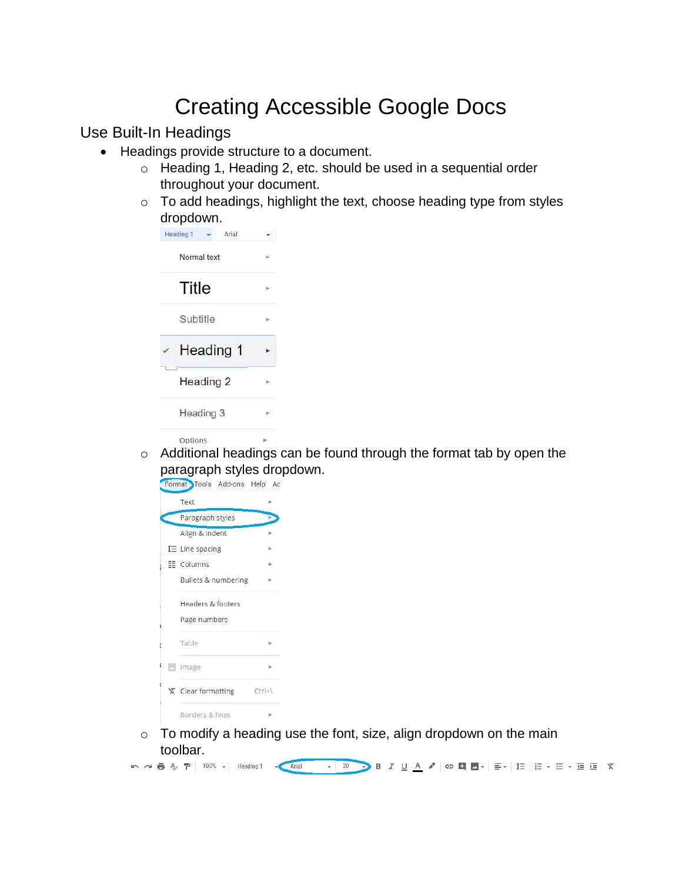# Creating Accessible Google Docs

Use Built-In Headings

- Headings provide structure to a document.
	- o Heading 1, Heading 2, etc. should be used in a sequential order throughout your document.
	- o To add headings, highlight the text, choose heading type from styles dropdown.

| <b>Heading 1</b><br>Arial |  |
|---------------------------|--|
| Normal text               |  |
| Title                     |  |
| Subtitle                  |  |
| <b>Heading 1</b>          |  |
| <b>Heading 2</b>          |  |
| Heading 3                 |  |
| Ontions                   |  |

o Additional headings can be found through the format tab by open the paragraph styles dropdown.

|          | Text                       |                |
|----------|----------------------------|----------------|
|          | Paragraph styles           |                |
|          | Align & indent             |                |
|          | $I\equiv$ Line spacing     |                |
|          | EE Columns                 |                |
|          | Bullets & numbering        |                |
|          | Headers & footers          |                |
|          | Page numbers               |                |
|          | Table                      |                |
| <b>A</b> | Image                      |                |
|          | $\bar{x}$ Clear formatting | $Ctr +\lambda$ |
|          | Borders & lines            |                |

 $\circ$  To modify a heading use the font, size, align dropdown on the main toolbar.

**b 2 8 2 2 3 日 8 2 日 8 2 日 8 2 日 8 2 日 8 2 日 8 2 日 8 2 日 8 2 日 8 2 日 8 2 日 8 2 日 8 2 日 8 2 日 8 2 日 8 2 日 8 2 日 8 2 日 8 2 日 8 2 日 8 2 日 8 2 日 8 2 日 8 2 日 8 2 日 8 2 日 8 2 日 8 2 日 8 2 日 8 2 日 8 2 日 8 2 日 8 2 日 8 2 日 8 2 日 8**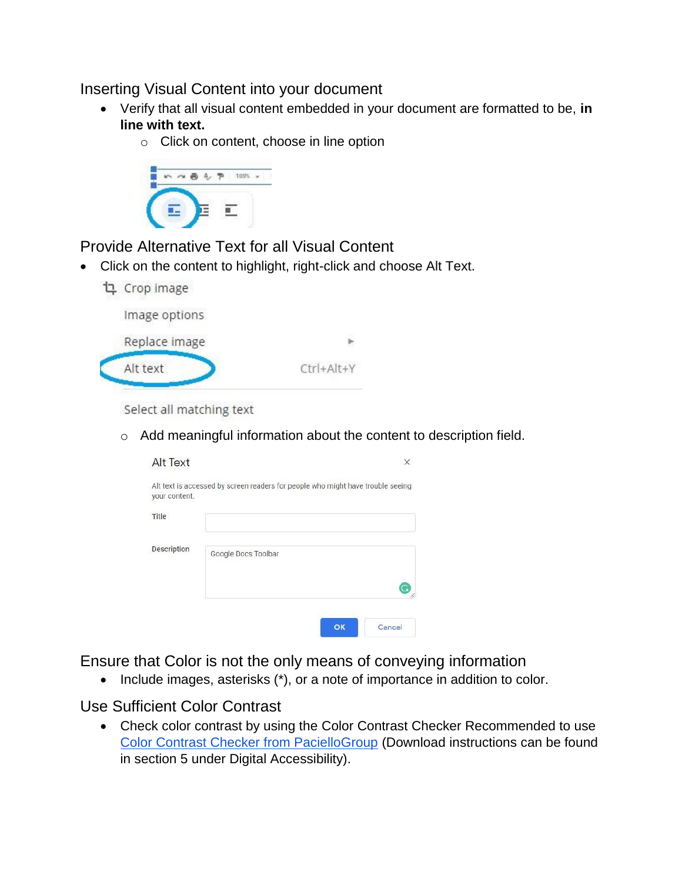### Inserting Visual Content into your document

- Verify that all visual content embedded in your document are formatted to be, **in line with text.**
	- o Click on content, choose in line option



Provide Alternative Text for all Visual Content

Click on the content to highlight, right-click and choose Alt Text.



| Replace image |            |
|---------------|------------|
| Alt text      | Ctrl+Alt+Y |

Select all matching text

o Add meaningful information about the content to description field.

| <b>Alt Text</b> |                                                                                 |  |
|-----------------|---------------------------------------------------------------------------------|--|
| your content.   | Alt text is accessed by screen readers for people who might have trouble seeing |  |
| Title           |                                                                                 |  |
| Description     | Google Docs Toolbar                                                             |  |
|                 |                                                                                 |  |

Ensure that Color is not the only means of conveying information

• Include images, asterisks (\*), or a note of importance in addition to color.

#### Use Sufficient Color Contrast

• Ch[e](https://github.com/ThePacielloGroup/CCAe/releases/tag/v1.1.0)ck color contrast by using the Color Contrast Checker Recommended to use [Color Contrast Checker from PacielloGroup](https://github.com/ThePacielloGroup/CCAe/releases/tag/v1.1.0) (Download instructions can be found in section 5 under Digital Accessibility).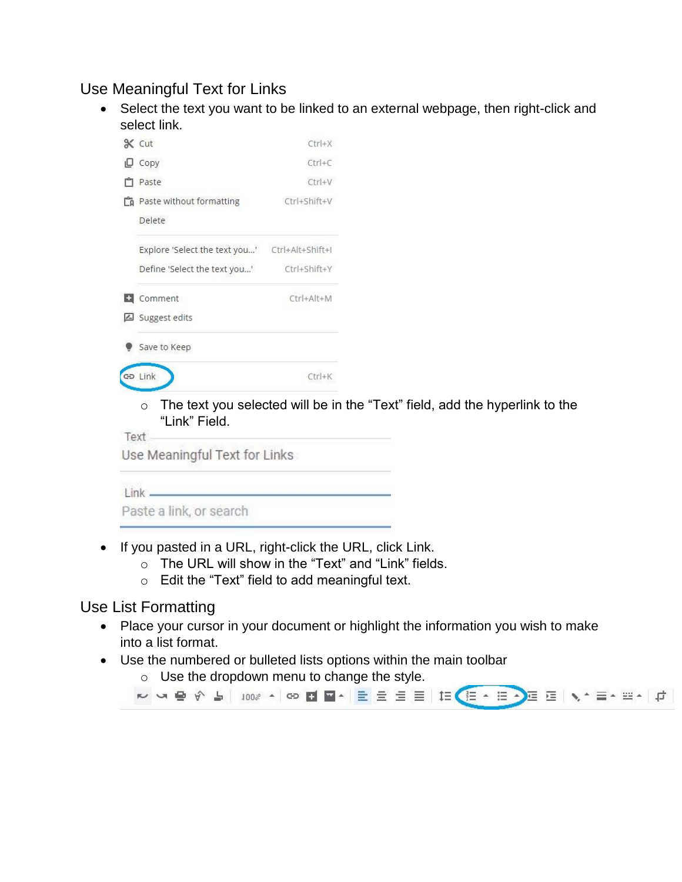## Use Meaningful Text for Links

 Select the text you want to be linked to an external webpage, then right-click and select link.



 $\circ$  The text you selected will be in the "Text" field, add the hyperlink to the "Link" Field.

Text

Use Meaningful Text for Links

 $Link$   $\qquad$ 

Paste a link, or search

- If you pasted in a URL, right-click the URL, click Link.
	- o The URL will show in the "Text" and "Link" fields.
	- o Edit the "Text" field to add meaningful text.

#### Use List Formatting

- Place your cursor in your document or highlight the information you wish to make into a list format.
- Use the numbered or bulleted lists options within the main toolbar
	- o Use the dropdown menu to change the style.